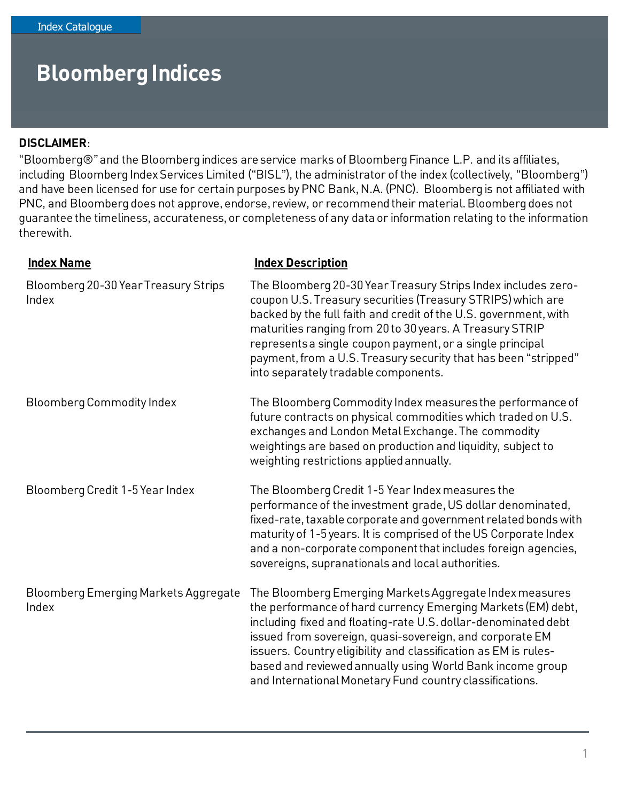#### **DISCLAIMER**:

"Bloomberg®" and the Bloomberg indices are service marks of Bloomberg Finance L.P. and its affiliates, including Bloomberg Index Services Limited ("BISL"), the administrator of the index (collectively, "Bloomberg") and have been licensed for use for certain purposes by PNC Bank, N.A. (PNC). Bloomberg is not affiliated with PNC, and Bloomberg does not approve, endorse, review, or recommend their material. Bloomberg does not guarantee the timeliness, accurateness, or completeness of any data or information relating to the information therewith.

| <b>Index Name</b>                             | <b>Index Description</b>                                                                                                                                                                                                                                                                                                                                                                                                                          |
|-----------------------------------------------|---------------------------------------------------------------------------------------------------------------------------------------------------------------------------------------------------------------------------------------------------------------------------------------------------------------------------------------------------------------------------------------------------------------------------------------------------|
| Bloomberg 20-30 Year Treasury Strips<br>Index | The Bloomberg 20-30 Year Treasury Strips Index includes zero-<br>coupon U.S. Treasury securities (Treasury STRIPS) which are<br>backed by the full faith and credit of the U.S. government, with<br>maturities ranging from 20 to 30 years. A Treasury STRIP<br>represents a single coupon payment, or a single principal<br>payment, from a U.S. Treasury security that has been "stripped"<br>into separately tradable components.              |
| <b>Bloomberg Commodity Index</b>              | The Bloomberg Commodity Index measures the performance of<br>future contracts on physical commodities which traded on U.S.<br>exchanges and London Metal Exchange. The commodity<br>weightings are based on production and liquidity, subject to<br>weighting restrictions applied annually.                                                                                                                                                      |
| Bloomberg Credit 1-5 Year Index               | The Bloomberg Credit 1-5 Year Index measures the<br>performance of the investment grade, US dollar denominated,<br>fixed-rate, taxable corporate and government related bonds with<br>maturity of 1-5 years. It is comprised of the US Corporate Index<br>and a non-corporate component that includes foreign agencies,<br>sovereigns, supranationals and local authorities.                                                                      |
| Bloomberg Emerging Markets Aggregate<br>Index | The Bloomberg Emerging Markets Aggregate Index measures<br>the performance of hard currency Emerging Markets (EM) debt,<br>including fixed and floating-rate U.S. dollar-denominated debt<br>issued from sovereign, quasi-sovereign, and corporate EM<br>issuers. Country eligibility and classification as EM is rules-<br>based and reviewed annually using World Bank income group<br>and International Monetary Fund country classifications. |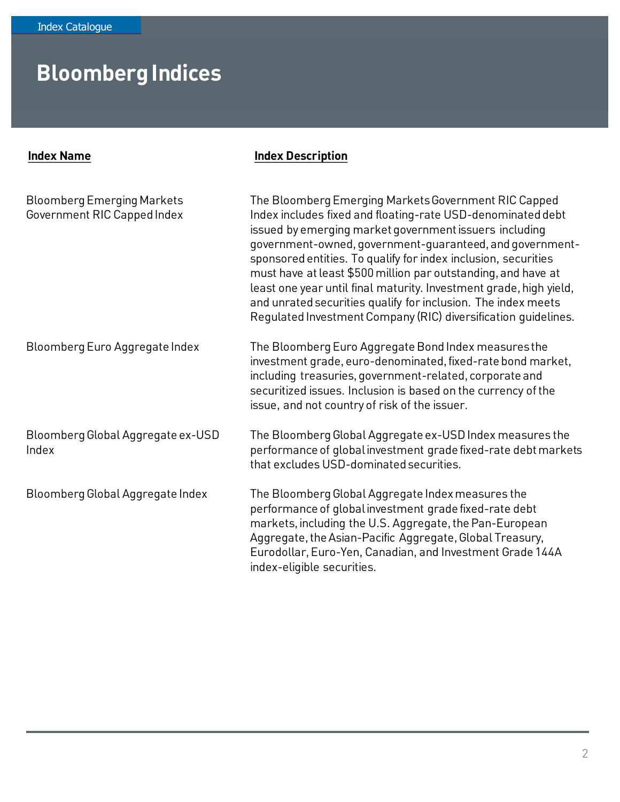| <b>Index Name</b>                                                | <b>Index Description</b>                                                                                                                                                                                                                                                                                                                                                                                                                                                                                                                                                              |
|------------------------------------------------------------------|---------------------------------------------------------------------------------------------------------------------------------------------------------------------------------------------------------------------------------------------------------------------------------------------------------------------------------------------------------------------------------------------------------------------------------------------------------------------------------------------------------------------------------------------------------------------------------------|
| <b>Bloomberg Emerging Markets</b><br>Government RIC Capped Index | The Bloomberg Emerging Markets Government RIC Capped<br>Index includes fixed and floating-rate USD-denominated debt<br>issued by emerging market government issuers including<br>government-owned, government-guaranteed, and government-<br>sponsored entities. To qualify for index inclusion, securities<br>must have at least \$500 million par outstanding, and have at<br>least one year until final maturity. Investment grade, high yield,<br>and unrated securities qualify for inclusion. The index meets<br>Regulated Investment Company (RIC) diversification guidelines. |
| Bloomberg Euro Aggregate Index                                   | The Bloomberg Euro Aggregate Bond Index measures the<br>investment grade, euro-denominated, fixed-rate bond market,<br>including treasuries, government-related, corporate and<br>securitized issues. Inclusion is based on the currency of the<br>issue, and not country of risk of the issuer.                                                                                                                                                                                                                                                                                      |
| Bloomberg Global Aggregate ex-USD<br>Index                       | The Bloomberg Global Aggregate ex-USD Index measures the<br>performance of global investment grade fixed-rate debt markets<br>that excludes USD-dominated securities.                                                                                                                                                                                                                                                                                                                                                                                                                 |
| Bloomberg Global Aggregate Index                                 | The Bloomberg Global Aggregate Index measures the<br>performance of global investment grade fixed-rate debt<br>markets, including the U.S. Aggregate, the Pan-European<br>Aggregate, the Asian-Pacific Aggregate, Global Treasury,<br>Eurodollar, Euro-Yen, Canadian, and Investment Grade 144A<br>index-eligible securities.                                                                                                                                                                                                                                                         |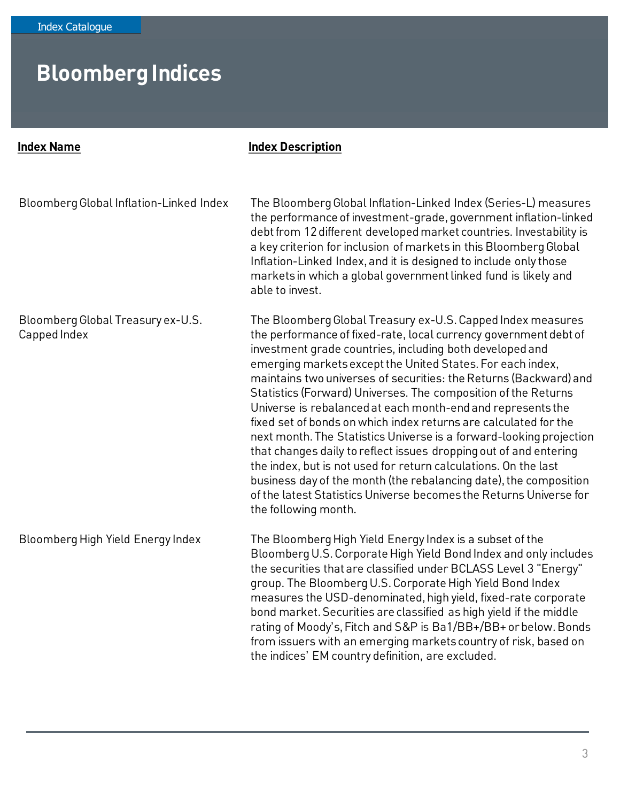| <b>Index Name</b>                                 | <b>Index Description</b>                                                                                                                                                                                                                                                                                                                                                                                                                                                                                                                                                                                                                                                                                                                                                                                                                                                                                              |
|---------------------------------------------------|-----------------------------------------------------------------------------------------------------------------------------------------------------------------------------------------------------------------------------------------------------------------------------------------------------------------------------------------------------------------------------------------------------------------------------------------------------------------------------------------------------------------------------------------------------------------------------------------------------------------------------------------------------------------------------------------------------------------------------------------------------------------------------------------------------------------------------------------------------------------------------------------------------------------------|
| Bloomberg Global Inflation-Linked Index           | The Bloomberg Global Inflation-Linked Index (Series-L) measures<br>the performance of investment-grade, government inflation-linked<br>debt from 12 different developed market countries. Investability is<br>a key criterion for inclusion of markets in this Bloomberg Global<br>Inflation-Linked Index, and it is designed to include only those<br>markets in which a global government linked fund is likely and<br>able to invest.                                                                                                                                                                                                                                                                                                                                                                                                                                                                              |
| Bloomberg Global Treasury ex-U.S.<br>Capped Index | The Bloomberg Global Treasury ex-U.S. Capped Index measures<br>the performance of fixed-rate, local currency government debt of<br>investment grade countries, including both developed and<br>emerging markets except the United States. For each index,<br>maintains two universes of securities: the Returns (Backward) and<br>Statistics (Forward) Universes. The composition of the Returns<br>Universe is rebalanced at each month-end and represents the<br>fixed set of bonds on which index returns are calculated for the<br>next month. The Statistics Universe is a forward-looking projection<br>that changes daily to reflect issues dropping out of and entering<br>the index, but is not used for return calculations. On the last<br>business day of the month (the rebalancing date), the composition<br>of the latest Statistics Universe becomes the Returns Universe for<br>the following month. |
| Bloomberg High Yield Energy Index                 | The Bloomberg High Yield Energy Index is a subset of the<br>Bloomberg U.S. Corporate High Yield Bond Index and only includes<br>the securities that are classified under BCLASS Level 3 "Energy"<br>group. The Bloomberg U.S. Corporate High Yield Bond Index<br>measures the USD-denominated, high yield, fixed-rate corporate<br>bond market. Securities are classified as high yield if the middle<br>rating of Moody's, Fitch and S&P is Ba1/BB+/BB+ or below. Bonds<br>from issuers with an emerging markets country of risk, based on<br>the indices' EM country definition, are excluded.                                                                                                                                                                                                                                                                                                                      |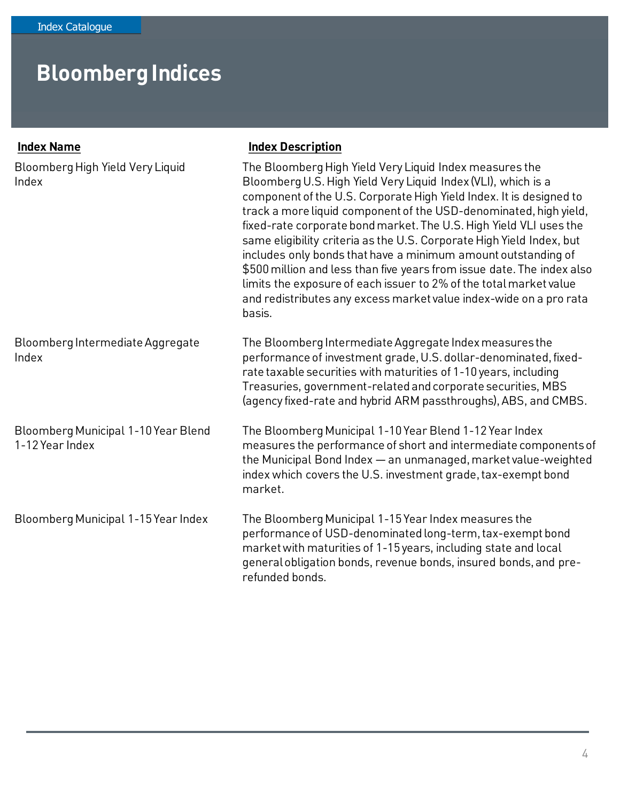#### Bloomberg High Yield Very Liquid Index The Bloomberg High Yield Very Liquid Index measures the Bloomberg U.S. High Yield Very Liquid Index (VLI), which is a component of the U.S. Corporate High Yield Index. It is designed to track a more liquid component of the USD-denominated, high yield, fixed-rate corporate bond market. The U.S. High Yield VLI uses the same eligibility criteria as the U.S. Corporate High Yield Index, but includes only bonds that have a minimum amount outstanding of \$500 million and less than five years from issue date. The index also limits the exposure of each issuer to 2% of the total market value and redistributes any excess market value index-wide on a pro rata basis. Bloomberg Intermediate Aggregate Index The Bloomberg Intermediate Aggregate Index measures the performance of investment grade, U.S. dollar-denominated, fixedrate taxable securities with maturities of 1-10 years, including Treasuries, government-related and corporate securities, MBS (agency fixed-rate and hybrid ARM passthroughs), ABS, and CMBS. Bloomberg Municipal 1-10 Year Blend 1-12 Year Index The Bloomberg Municipal 1-10 Year Blend 1-12 Year Index measures the performance of short and intermediate components of the Municipal Bond Index — an unmanaged, market value-weighted index which covers the U.S. investment grade, tax-exempt bond market. Bloomberg Municipal 1-15 Year Index The Bloomberg Municipal 1-15 Year Index measures the performance of USD-denominated long-term, tax-exempt bond market with maturities of 1-15 years, including state and local general obligation bonds, revenue bonds, insured bonds, and prerefunded bonds. **Index Name Index Description**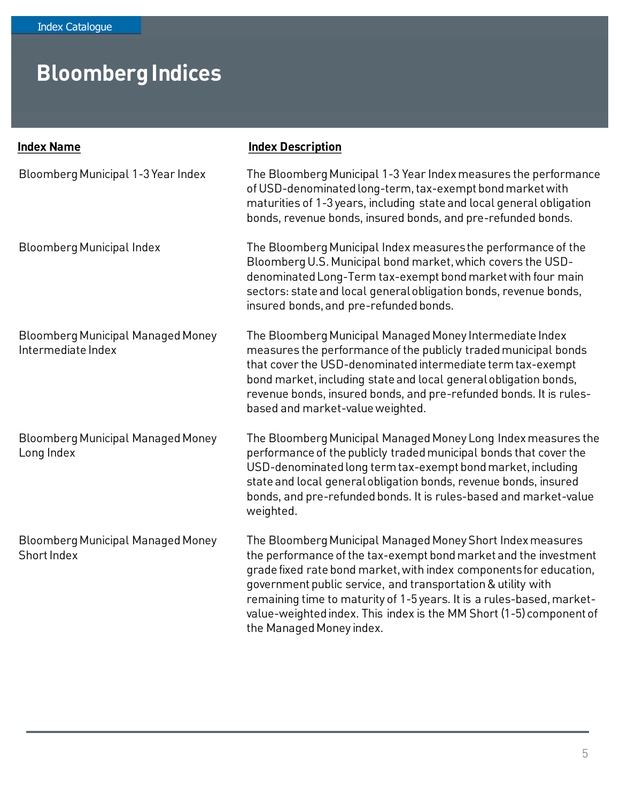| <b>Index Name</b>                                              | <b>Index Description</b>                                                                                                                                                                                                                                                                                                                                                                                                                         |
|----------------------------------------------------------------|--------------------------------------------------------------------------------------------------------------------------------------------------------------------------------------------------------------------------------------------------------------------------------------------------------------------------------------------------------------------------------------------------------------------------------------------------|
| Bloomberg Municipal 1-3 Year Index                             | The Bloomberg Municipal 1-3 Year Index measures the performance<br>of USD-denominated long-term, tax-exempt bond market with<br>maturities of 1-3 years, including state and local general obligation<br>bonds, revenue bonds, insured bonds, and pre-refunded bonds.                                                                                                                                                                            |
| <b>Bloomberg Municipal Index</b>                               | The Bloomberg Municipal Index measures the performance of the<br>Bloomberg U.S. Municipal bond market, which covers the USD-<br>denominated Long-Term tax-exempt bond market with four main<br>sectors: state and local general obligation bonds, revenue bonds,<br>insured bonds, and pre-refunded bonds.                                                                                                                                       |
| <b>Bloomberg Municipal Managed Money</b><br>Intermediate Index | The Bloomberg Municipal Managed Money Intermediate Index<br>measures the performance of the publicly traded municipal bonds<br>that cover the USD-denominated intermediate term tax-exempt<br>bond market, including state and local general obligation bonds,<br>revenue bonds, insured bonds, and pre-refunded bonds. It is rules-<br>based and market-value weighted.                                                                         |
| <b>Bloomberg Municipal Managed Money</b><br>Long Index         | The Bloomberg Municipal Managed Money Long Index measures the<br>performance of the publicly traded municipal bonds that cover the<br>USD-denominated long term tax-exempt bond market, including<br>state and local general obligation bonds, revenue bonds, insured<br>bonds, and pre-refunded bonds. It is rules-based and market-value<br>weighted.                                                                                          |
| <b>Bloomberg Municipal Managed Money</b><br>Short Index        | The Bloomberg Municipal Managed Money Short Index measures<br>the performance of the tax-exempt bond market and the investment<br>grade fixed rate bond market, with index components for education,<br>government public service, and transportation & utility with<br>remaining time to maturity of 1-5 years. It is a rules-based, market-<br>value-weighted index. This index is the MM Short (1-5) component of<br>the Managed Money index. |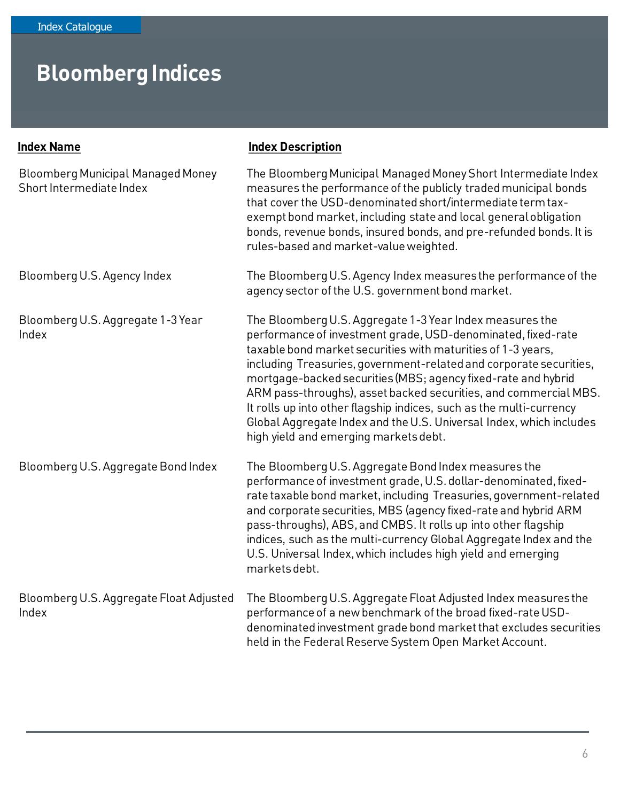| <b>Index Name</b>                                                    | <b>Index Description</b>                                                                                                                                                                                                                                                                                                                                                                                                                                                                                                                                                                   |
|----------------------------------------------------------------------|--------------------------------------------------------------------------------------------------------------------------------------------------------------------------------------------------------------------------------------------------------------------------------------------------------------------------------------------------------------------------------------------------------------------------------------------------------------------------------------------------------------------------------------------------------------------------------------------|
| <b>Bloomberg Municipal Managed Money</b><br>Short Intermediate Index | The Bloomberg Municipal Managed Money Short Intermediate Index<br>measures the performance of the publicly traded municipal bonds<br>that cover the USD-denominated short/intermediate term tax-<br>exempt bond market, including state and local general obligation<br>bonds, revenue bonds, insured bonds, and pre-refunded bonds. It is<br>rules-based and market-value weighted.                                                                                                                                                                                                       |
| Bloomberg U.S. Agency Index                                          | The Bloomberg U.S. Agency Index measures the performance of the<br>agency sector of the U.S. government bond market.                                                                                                                                                                                                                                                                                                                                                                                                                                                                       |
| Bloomberg U.S. Aggregate 1-3 Year<br>Index                           | The Bloomberg U.S. Aggregate 1-3 Year Index measures the<br>performance of investment grade, USD-denominated, fixed-rate<br>taxable bond market securities with maturities of 1-3 years,<br>including Treasuries, government-related and corporate securities,<br>mortgage-backed securities (MBS; agency fixed-rate and hybrid<br>ARM pass-throughs), asset backed securities, and commercial MBS.<br>It rolls up into other flagship indices, such as the multi-currency<br>Global Aggregate Index and the U.S. Universal Index, which includes<br>high yield and emerging markets debt. |
| Bloomberg U.S. Aggregate Bond Index                                  | The Bloomberg U.S. Aggregate Bond Index measures the<br>performance of investment grade, U.S. dollar-denominated, fixed-<br>rate taxable bond market, including Treasuries, government-related<br>and corporate securities, MBS (agency fixed-rate and hybrid ARM<br>pass-throughs), ABS, and CMBS. It rolls up into other flagship<br>indices, such as the multi-currency Global Aggregate Index and the<br>U.S. Universal Index, which includes high yield and emerging<br>markets debt.                                                                                                 |
| Bloomberg U.S. Aggregate Float Adjusted<br>Index                     | The Bloomberg U.S. Aggregate Float Adjusted Index measures the<br>performance of a new benchmark of the broad fixed-rate USD-<br>denominated investment grade bond market that excludes securities<br>held in the Federal Reserve System Open Market Account.                                                                                                                                                                                                                                                                                                                              |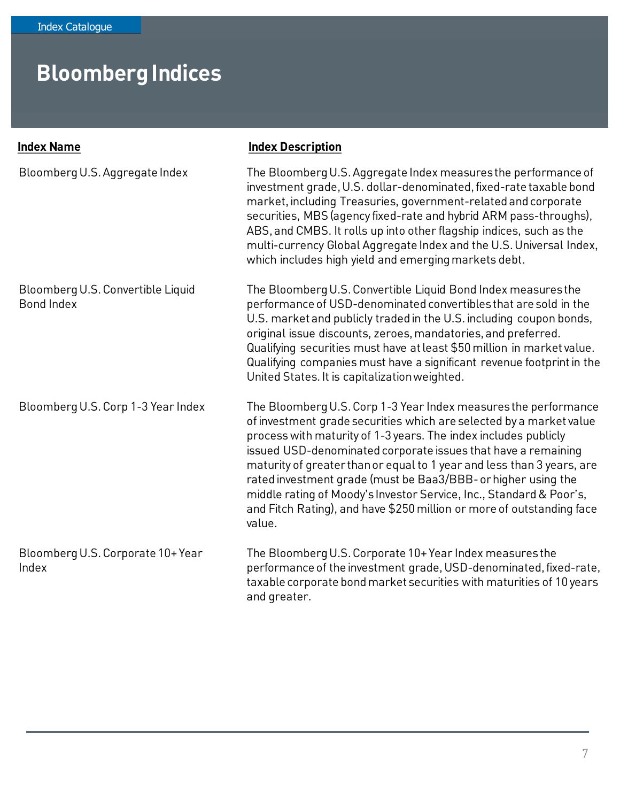| <b>Index Name</b>                                      | <b>Index Description</b>                                                                                                                                                                                                                                                                                                                                                                                                                                                                                                                                                        |
|--------------------------------------------------------|---------------------------------------------------------------------------------------------------------------------------------------------------------------------------------------------------------------------------------------------------------------------------------------------------------------------------------------------------------------------------------------------------------------------------------------------------------------------------------------------------------------------------------------------------------------------------------|
| Bloomberg U.S. Aggregate Index                         | The Bloomberg U.S. Aggregate Index measures the performance of<br>investment grade, U.S. dollar-denominated, fixed-rate taxable bond<br>market, including Treasuries, government-related and corporate<br>securities, MBS (agency fixed-rate and hybrid ARM pass-throughs),<br>ABS, and CMBS. It rolls up into other flagship indices, such as the<br>multi-currency Global Aggregate Index and the U.S. Universal Index,<br>which includes high yield and emerging markets debt.                                                                                               |
| Bloomberg U.S. Convertible Liquid<br><b>Bond Index</b> | The Bloomberg U.S. Convertible Liquid Bond Index measures the<br>performance of USD-denominated convertibles that are sold in the<br>U.S. market and publicly traded in the U.S. including coupon bonds,<br>original issue discounts, zeroes, mandatories, and preferred.<br>Qualifying securities must have at least \$50 million in market value.<br>Qualifying companies must have a significant revenue footprint in the<br>United States. It is capitalization weighted.                                                                                                   |
| Bloomberg U.S. Corp 1-3 Year Index                     | The Bloomberg U.S. Corp 1-3 Year Index measures the performance<br>of investment grade securities which are selected by a market value<br>process with maturity of 1-3 years. The index includes publicly<br>issued USD-denominated corporate issues that have a remaining<br>maturity of greater than or equal to 1 year and less than 3 years, are<br>rated investment grade (must be Baa3/BBB- or higher using the<br>middle rating of Moody's Investor Service, Inc., Standard & Poor's,<br>and Fitch Rating), and have \$250 million or more of outstanding face<br>value. |
| Bloomberg U.S. Corporate 10+ Year<br>Index             | The Bloomberg U.S. Corporate 10+ Year Index measures the<br>performance of the investment grade, USD-denominated, fixed-rate,<br>taxable corporate bond market securities with maturities of 10 years<br>and greater.                                                                                                                                                                                                                                                                                                                                                           |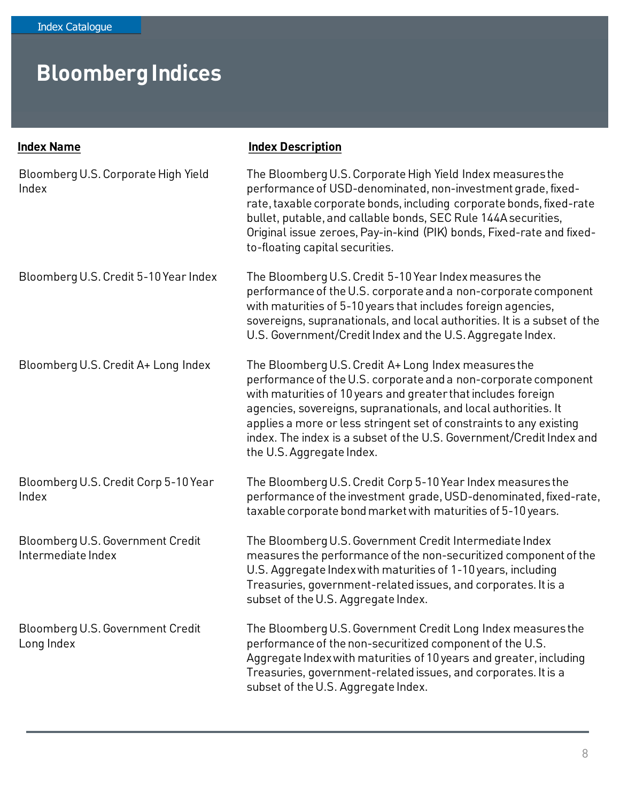| <b>Index Name</b>                                      | <b>Index Description</b>                                                                                                                                                                                                                                                                                                                                                                                                                |
|--------------------------------------------------------|-----------------------------------------------------------------------------------------------------------------------------------------------------------------------------------------------------------------------------------------------------------------------------------------------------------------------------------------------------------------------------------------------------------------------------------------|
| Bloomberg U.S. Corporate High Yield<br>Index           | The Bloomberg U.S. Corporate High Yield Index measures the<br>performance of USD-denominated, non-investment grade, fixed-<br>rate, taxable corporate bonds, including corporate bonds, fixed-rate<br>bullet, putable, and callable bonds, SEC Rule 144A securities,<br>Original issue zeroes, Pay-in-kind (PIK) bonds, Fixed-rate and fixed-<br>to-floating capital securities.                                                        |
| Bloomberg U.S. Credit 5-10 Year Index                  | The Bloomberg U.S. Credit 5-10 Year Index measures the<br>performance of the U.S. corporate and a non-corporate component<br>with maturities of 5-10 years that includes foreign agencies,<br>sovereigns, supranationals, and local authorities. It is a subset of the<br>U.S. Government/Credit Index and the U.S. Aggregate Index.                                                                                                    |
| Bloomberg U.S. Credit A+ Long Index                    | The Bloomberg U.S. Credit A+ Long Index measures the<br>performance of the U.S. corporate and a non-corporate component<br>with maturities of 10 years and greater that includes foreign<br>agencies, sovereigns, supranationals, and local authorities. It<br>applies a more or less stringent set of constraints to any existing<br>index. The index is a subset of the U.S. Government/Credit Index and<br>the U.S. Aggregate Index. |
| Bloomberg U.S. Credit Corp 5-10 Year<br>Index          | The Bloomberg U.S. Credit Corp 5-10 Year Index measures the<br>performance of the investment grade, USD-denominated, fixed-rate,<br>taxable corporate bond market with maturities of 5-10 years.                                                                                                                                                                                                                                        |
| Bloomberg U.S. Government Credit<br>Intermediate Index | The Bloomberg U.S. Government Credit Intermediate Index<br>measures the performance of the non-securitized component of the<br>U.S. Aggregate Index with maturities of 1-10 years, including<br>Treasuries, government-related issues, and corporates. It is a<br>subset of the U.S. Aggregate Index.                                                                                                                                   |
| Bloomberg U.S. Government Credit<br>Long Index         | The Bloomberg U.S. Government Credit Long Index measures the<br>performance of the non-securitized component of the U.S.<br>Aggregate Index with maturities of 10 years and greater, including<br>Treasuries, government-related issues, and corporates. It is a<br>subset of the U.S. Aggregate Index.                                                                                                                                 |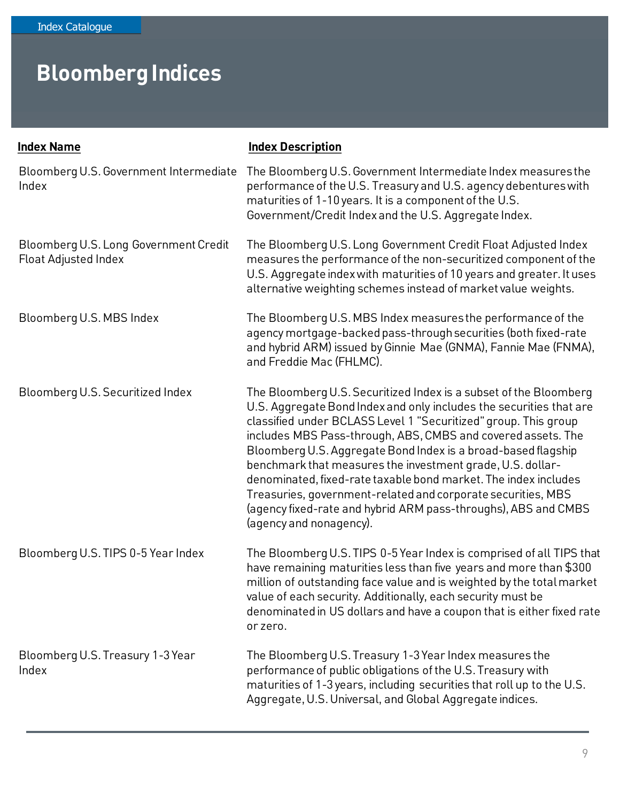| <b>Index Name</b>                                             | <b>Index Description</b>                                                                                                                                                                                                                                                                                                                                                                                                                                                                                                                                                                                                                   |
|---------------------------------------------------------------|--------------------------------------------------------------------------------------------------------------------------------------------------------------------------------------------------------------------------------------------------------------------------------------------------------------------------------------------------------------------------------------------------------------------------------------------------------------------------------------------------------------------------------------------------------------------------------------------------------------------------------------------|
| Bloomberg U.S. Government Intermediate<br>Index               | The Bloomberg U.S. Government Intermediate Index measures the<br>performance of the U.S. Treasury and U.S. agency debentures with<br>maturities of 1-10 years. It is a component of the U.S.<br>Government/Credit Index and the U.S. Aggregate Index.                                                                                                                                                                                                                                                                                                                                                                                      |
| Bloomberg U.S. Long Government Credit<br>Float Adjusted Index | The Bloomberg U.S. Long Government Credit Float Adjusted Index<br>measures the performance of the non-securitized component of the<br>U.S. Aggregate index with maturities of 10 years and greater. It uses<br>alternative weighting schemes instead of market value weights.                                                                                                                                                                                                                                                                                                                                                              |
| Bloomberg U.S. MBS Index                                      | The Bloomberg U.S. MBS Index measures the performance of the<br>agency mortgage-backed pass-through securities (both fixed-rate<br>and hybrid ARM) issued by Ginnie Mae (GNMA), Fannie Mae (FNMA),<br>and Freddie Mac (FHLMC).                                                                                                                                                                                                                                                                                                                                                                                                             |
| Bloomberg U.S. Securitized Index                              | The Bloomberg U.S. Securitized Index is a subset of the Bloomberg<br>U.S. Aggregate Bond Index and only includes the securities that are<br>classified under BCLASS Level 1 "Securitized" group. This group<br>includes MBS Pass-through, ABS, CMBS and covered assets. The<br>Bloomberg U.S. Aggregate Bond Index is a broad-based flagship<br>benchmark that measures the investment grade, U.S. dollar-<br>denominated, fixed-rate taxable bond market. The index includes<br>Treasuries, government-related and corporate securities, MBS<br>(agency fixed-rate and hybrid ARM pass-throughs), ABS and CMBS<br>(agency and nonagency). |
| Bloomberg U.S. TIPS 0-5 Year Index                            | The Bloomberg U.S. TIPS 0-5 Year Index is comprised of all TIPS that<br>have remaining maturities less than five years and more than \$300<br>million of outstanding face value and is weighted by the total market<br>value of each security. Additionally, each security must be<br>denominated in US dollars and have a coupon that is either fixed rate<br>or zero.                                                                                                                                                                                                                                                                    |
| Bloomberg U.S. Treasury 1-3 Year<br>Index                     | The Bloomberg U.S. Treasury 1-3 Year Index measures the<br>performance of public obligations of the U.S. Treasury with<br>maturities of 1-3 years, including securities that roll up to the U.S.<br>Aggregate, U.S. Universal, and Global Aggregate indices.                                                                                                                                                                                                                                                                                                                                                                               |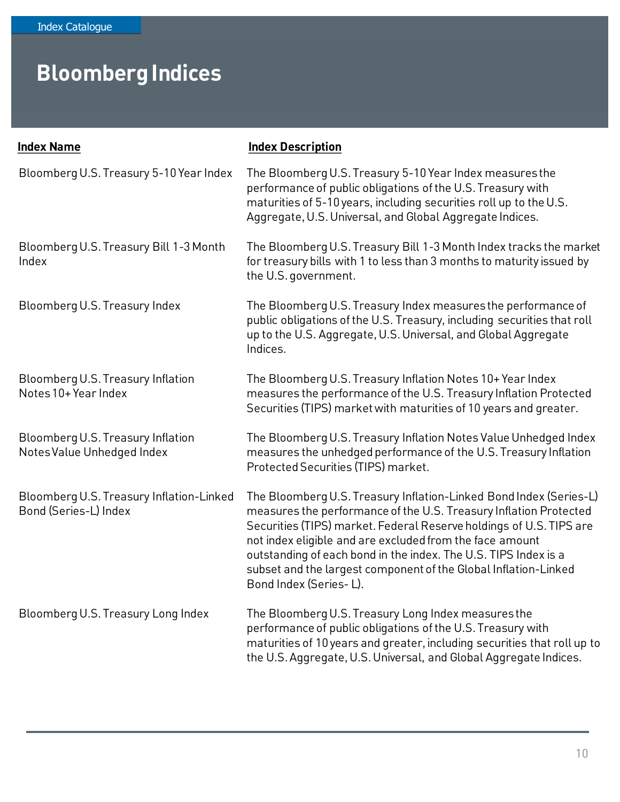| <b>Index Name</b>                                                 | <b>Index Description</b>                                                                                                                                                                                                                                                                                                                                                                                                                   |
|-------------------------------------------------------------------|--------------------------------------------------------------------------------------------------------------------------------------------------------------------------------------------------------------------------------------------------------------------------------------------------------------------------------------------------------------------------------------------------------------------------------------------|
| Bloomberg U.S. Treasury 5-10 Year Index                           | The Bloomberg U.S. Treasury 5-10 Year Index measures the<br>performance of public obligations of the U.S. Treasury with<br>maturities of 5-10 years, including securities roll up to the U.S.<br>Aggregate, U.S. Universal, and Global Aggregate Indices.                                                                                                                                                                                  |
| Bloomberg U.S. Treasury Bill 1-3 Month<br>Index                   | The Bloomberg U.S. Treasury Bill 1-3 Month Index tracks the market<br>for treasury bills with 1 to less than 3 months to maturity issued by<br>the U.S. government.                                                                                                                                                                                                                                                                        |
| Bloomberg U.S. Treasury Index                                     | The Bloomberg U.S. Treasury Index measures the performance of<br>public obligations of the U.S. Treasury, including securities that roll<br>up to the U.S. Aggregate, U.S. Universal, and Global Aggregate<br>Indices.                                                                                                                                                                                                                     |
| Bloomberg U.S. Treasury Inflation<br>Notes 10+ Year Index         | The Bloomberg U.S. Treasury Inflation Notes 10+ Year Index<br>measures the performance of the U.S. Treasury Inflation Protected<br>Securities (TIPS) market with maturities of 10 years and greater.                                                                                                                                                                                                                                       |
| Bloomberg U.S. Treasury Inflation<br>Notes Value Unhedged Index   | The Bloomberg U.S. Treasury Inflation Notes Value Unhedged Index<br>measures the unhedged performance of the U.S. Treasury Inflation<br>Protected Securities (TIPS) market.                                                                                                                                                                                                                                                                |
| Bloomberg U.S. Treasury Inflation-Linked<br>Bond (Series-L) Index | The Bloomberg U.S. Treasury Inflation-Linked Bond Index (Series-L)<br>measures the performance of the U.S. Treasury Inflation Protected<br>Securities (TIPS) market. Federal Reserve holdings of U.S. TIPS are<br>not index eligible and are excluded from the face amount<br>outstanding of each bond in the index. The U.S. TIPS Index is a<br>subset and the largest component of the Global Inflation-Linked<br>Bond Index (Series-L). |
| Bloomberg U.S. Treasury Long Index                                | The Bloomberg U.S. Treasury Long Index measures the<br>performance of public obligations of the U.S. Treasury with<br>maturities of 10 years and greater, including securities that roll up to<br>the U.S. Aggregate, U.S. Universal, and Global Aggregate Indices.                                                                                                                                                                        |